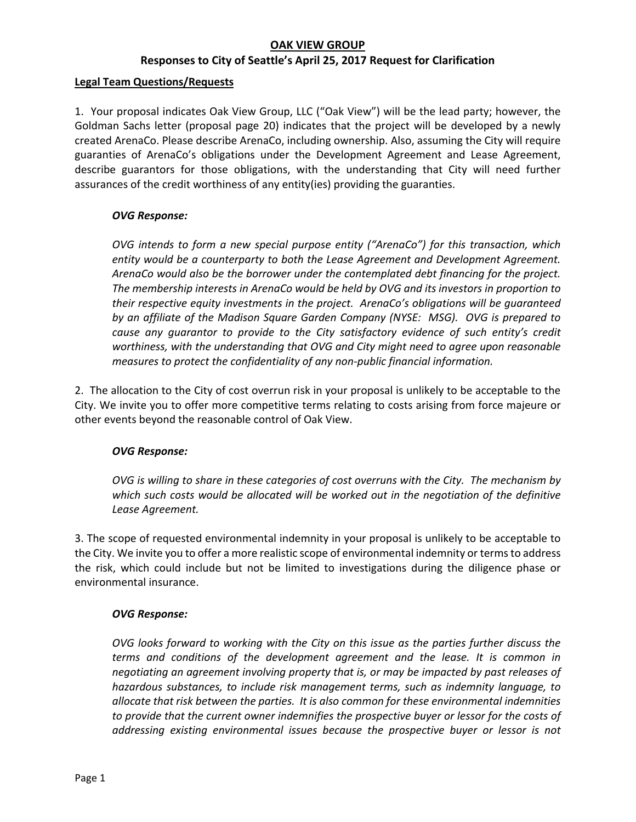# **OAK VIEW GROUP**

## **Responses to City of Seattle's April 25, 2017 Request for Clarification**

#### **Legal Team Questions/Requests**

1. Your proposal indicates Oak View Group, LLC ("Oak View") will be the lead party; however, the Goldman Sachs letter (proposal page 20) indicates that the project will be developed by a newly created ArenaCo. Please describe ArenaCo, including ownership. Also, assuming the City will require guaranties of ArenaCo's obligations under the Development Agreement and Lease Agreement, describe guarantors for those obligations, with the understanding that City will need further assurances of the credit worthiness of any entity(ies) providing the guaranties.

#### *OVG Response:*

*OVG intends to form a new special purpose entity ("ArenaCo") for this transaction, which entity would be a counterparty to both the Lease Agreement and Development Agreement. ArenaCo would also be the borrower under the contemplated debt financing for the project. The membership interests in ArenaCo would be held by OVG and its investors in proportion to their respective equity investments in the project. ArenaCo's obligations will be guaranteed by an affiliate of the Madison Square Garden Company (NYSE: MSG). OVG is prepared to cause any guarantor to provide to the City satisfactory evidence of such entity's credit worthiness, with the understanding that OVG and City might need to agree upon reasonable measures to protect the confidentiality of any non‐public financial information.*

2. The allocation to the City of cost overrun risk in your proposal is unlikely to be acceptable to the City. We invite you to offer more competitive terms relating to costs arising from force majeure or other events beyond the reasonable control of Oak View.

#### *OVG Response:*

*OVG is willing to share in these categories of cost overruns with the City. The mechanism by which such costs would be allocated will be worked out in the negotiation of the definitive Lease Agreement.*

3. The scope of requested environmental indemnity in your proposal is unlikely to be acceptable to the City. We invite you to offer a more realistic scope of environmental indemnity or terms to address the risk, which could include but not be limited to investigations during the diligence phase or environmental insurance.

#### *OVG Response:*

*OVG looks forward to working with the City on this issue as the parties further discuss the terms and conditions of the development agreement and the lease. It is common in negotiating an agreement involving property that is, or may be impacted by past releases of hazardous substances, to include risk management terms, such as indemnity language, to allocate that risk between the parties. It is also common for these environmental indemnities to provide that the current owner indemnifies the prospective buyer or lessor for the costs of addressing existing environmental issues because the prospective buyer or lessor is not*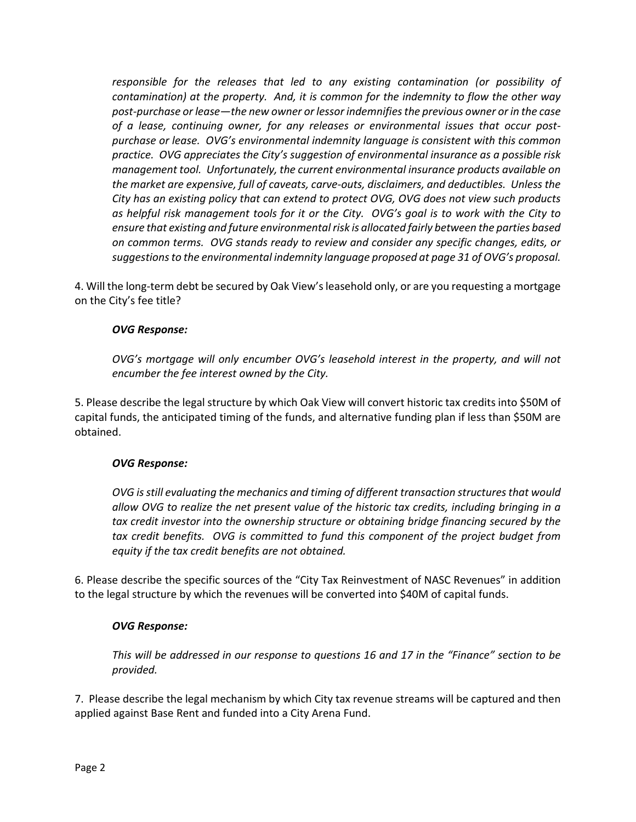*responsible for the releases that led to any existing contamination (or possibility of contamination) at the property. And, it is common for the indemnity to flow the other way post‐purchase or lease—the new owner or lessor indemnifies the previous owner or in the case of a lease, continuing owner, for any releases or environmental issues that occur post‐ purchase or lease. OVG's environmental indemnity language is consistent with this common practice. OVG appreciates the City's suggestion of environmental insurance as a possible risk management tool. Unfortunately, the current environmental insurance products available on the market are expensive, full of caveats, carve‐outs, disclaimers, and deductibles. Unless the City has an existing policy that can extend to protect OVG, OVG does not view such products as helpful risk management tools for it or the City. OVG's goal is to work with the City to ensure that existing and future environmental risk is allocated fairly between the parties based on common terms. OVG stands ready to review and consider any specific changes, edits, or suggestions to the environmental indemnity language proposed at page 31 of OVG's proposal.* 

4. Will the long‐term debt be secured by Oak View's leasehold only, or are you requesting a mortgage on the City's fee title?

## *OVG Response:*

*OVG's mortgage will only encumber OVG's leasehold interest in the property, and will not encumber the fee interest owned by the City.* 

5. Please describe the legal structure by which Oak View will convert historic tax credits into \$50M of capital funds, the anticipated timing of the funds, and alternative funding plan if less than \$50M are obtained.

# *OVG Response:*

*OVG is still evaluating the mechanics and timing of different transaction structures that would allow OVG to realize the net present value of the historic tax credits, including bringing in a tax credit investor into the ownership structure or obtaining bridge financing secured by the tax credit benefits. OVG is committed to fund this component of the project budget from equity if the tax credit benefits are not obtained.* 

6. Please describe the specific sources of the "City Tax Reinvestment of NASC Revenues" in addition to the legal structure by which the revenues will be converted into \$40M of capital funds.

#### *OVG Response:*

*This will be addressed in our response to questions 16 and 17 in the "Finance" section to be provided.* 

7. Please describe the legal mechanism by which City tax revenue streams will be captured and then applied against Base Rent and funded into a City Arena Fund.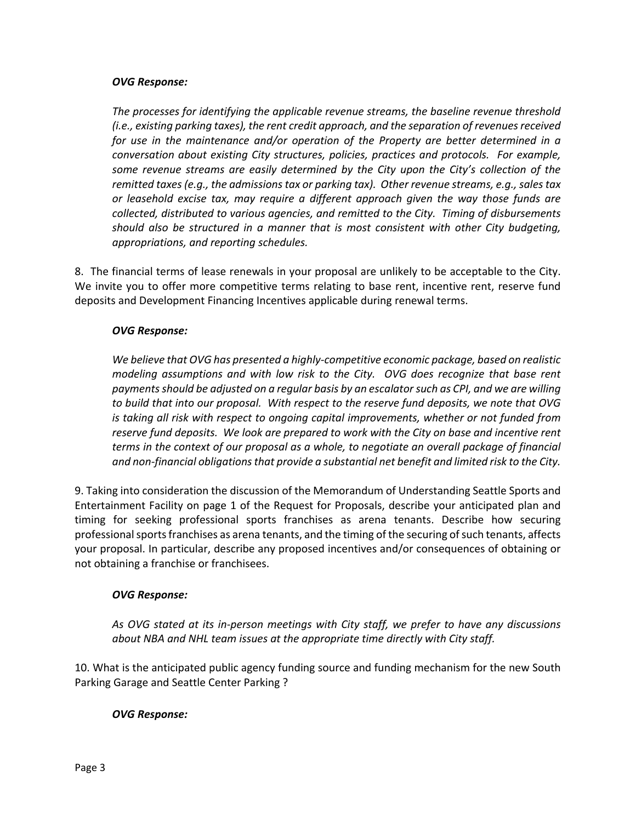### *OVG Response:*

*The processes for identifying the applicable revenue streams, the baseline revenue threshold (i.e., existing parking taxes), the rent credit approach, and the separation of revenues received for use in the maintenance and/or operation of the Property are better determined in a conversation about existing City structures, policies, practices and protocols. For example, some revenue streams are easily determined by the City upon the City's collection of the remitted taxes (e.g., the admissions tax or parking tax). Other revenue streams, e.g., sales tax or leasehold excise tax, may require a different approach given the way those funds are collected, distributed to various agencies, and remitted to the City. Timing of disbursements should also be structured in a manner that is most consistent with other City budgeting, appropriations, and reporting schedules.* 

8. The financial terms of lease renewals in your proposal are unlikely to be acceptable to the City. We invite you to offer more competitive terms relating to base rent, incentive rent, reserve fund deposits and Development Financing Incentives applicable during renewal terms.

# *OVG Response:*

*We believe that OVG has presented a highly‐competitive economic package, based on realistic modeling assumptions and with low risk to the City. OVG does recognize that base rent payments should be adjusted on a regular basis by an escalator such as CPI, and we are willing to build that into our proposal. With respect to the reserve fund deposits, we note that OVG is taking all risk with respect to ongoing capital improvements, whether or not funded from reserve fund deposits. We look are prepared to work with the City on base and incentive rent terms in the context of our proposal as a whole, to negotiate an overall package of financial and non‐financial obligations that provide a substantial net benefit and limited risk to the City.* 

9. Taking into consideration the discussion of the Memorandum of Understanding Seattle Sports and Entertainment Facility on page 1 of the Request for Proposals, describe your anticipated plan and timing for seeking professional sports franchises as arena tenants. Describe how securing professional sports franchises as arena tenants, and the timing of the securing of such tenants, affects your proposal. In particular, describe any proposed incentives and/or consequences of obtaining or not obtaining a franchise or franchisees.

# *OVG Response:*

*As OVG stated at its in‐person meetings with City staff, we prefer to have any discussions about NBA and NHL team issues at the appropriate time directly with City staff.* 

10. What is the anticipated public agency funding source and funding mechanism for the new South Parking Garage and Seattle Center Parking ?

# *OVG Response:*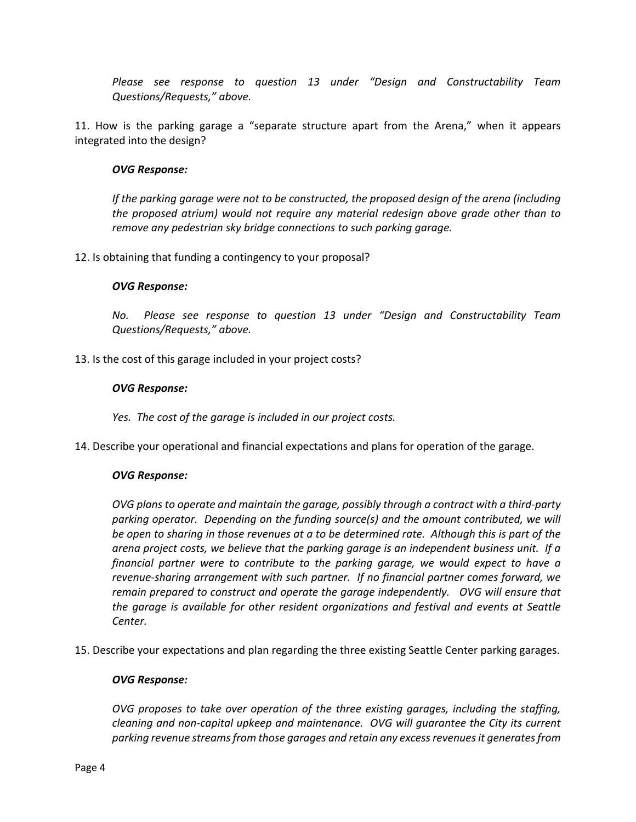*Please see response to question 13 under "Design and Constructability Team Questions/Requests," above.* 

11. How is the parking garage a "separate structure apart from the Arena," when it appears integrated into the design?

#### *OVG Response:*

*If the parking garage were not to be constructed, the proposed design of the arena (including the proposed atrium) would not require any material redesign above grade other than to remove any pedestrian sky bridge connections to such parking garage.* 

12. Is obtaining that funding a contingency to your proposal?

#### *OVG Response:*

*No. Please see response to question 13 under "Design and Constructability Team Questions/Requests," above.* 

13. Is the cost of this garage included in your project costs?

#### *OVG Response:*

*Yes. The cost of the garage is included in our project costs.* 

14. Describe your operational and financial expectations and plans for operation of the garage.

#### *OVG Response:*

*OVG plans to operate and maintain the garage, possibly through a contract with a third‐party parking operator. Depending on the funding source(s) and the amount contributed, we will be open to sharing in those revenues at a to be determined rate. Although this is part of the arena project costs, we believe that the parking garage is an independent business unit. If a financial partner were to contribute to the parking garage, we would expect to have a revenue‐sharing arrangement with such partner. If no financial partner comes forward, we remain prepared to construct and operate the garage independently. OVG will ensure that the garage is available for other resident organizations and festival and events at Seattle Center.* 

15. Describe your expectations and plan regarding the three existing Seattle Center parking garages.

#### *OVG Response:*

*OVG proposes to take over operation of the three existing garages, including the staffing, cleaning and non‐capital upkeep and maintenance. OVG will guarantee the City its current parking revenue streams from those garages and retain any excess revenues it generates from*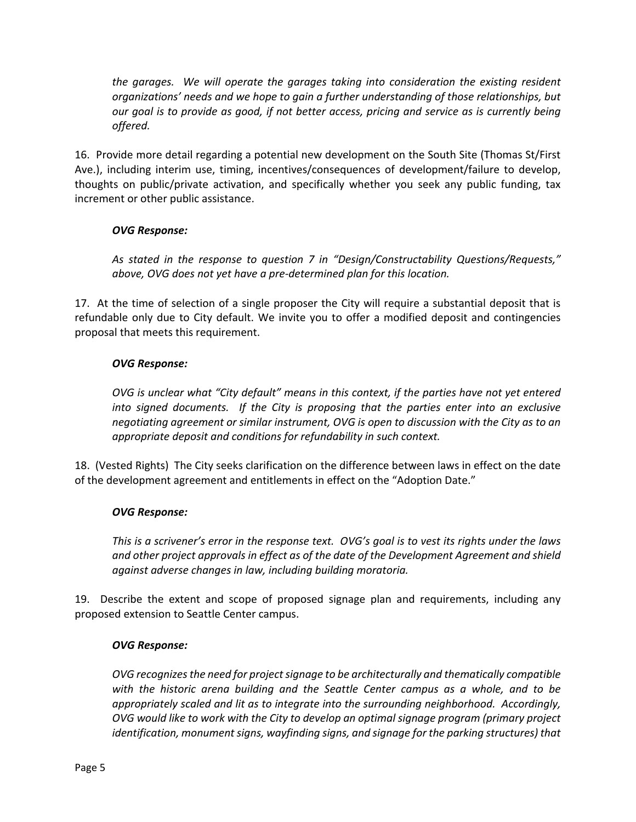*the garages. We will operate the garages taking into consideration the existing resident organizations' needs and we hope to gain a further understanding of those relationships, but our goal is to provide as good, if not better access, pricing and service as is currently being offered.* 

16. Provide more detail regarding a potential new development on the South Site (Thomas St/First Ave.), including interim use, timing, incentives/consequences of development/failure to develop, thoughts on public/private activation, and specifically whether you seek any public funding, tax increment or other public assistance.

# *OVG Response:*

*As stated in the response to question 7 in "Design/Constructability Questions/Requests," above, OVG does not yet have a pre‐determined plan for this location.* 

17. At the time of selection of a single proposer the City will require a substantial deposit that is refundable only due to City default. We invite you to offer a modified deposit and contingencies proposal that meets this requirement.

# *OVG Response:*

*OVG is unclear what "City default" means in this context, if the parties have not yet entered into signed documents. If the City is proposing that the parties enter into an exclusive negotiating agreement or similar instrument, OVG is open to discussion with the City as to an appropriate deposit and conditions for refundability in such context.* 

18. (Vested Rights) The City seeks clarification on the difference between laws in effect on the date of the development agreement and entitlements in effect on the "Adoption Date."

# *OVG Response:*

*This is a scrivener's error in the response text. OVG's goal is to vest its rights under the laws and other project approvals in effect as of the date of the Development Agreement and shield against adverse changes in law, including building moratoria.* 

19. Describe the extent and scope of proposed signage plan and requirements, including any proposed extension to Seattle Center campus.

# *OVG Response:*

*OVG recognizes the need for project signage to be architecturally and thematically compatible with the historic arena building and the Seattle Center campus as a whole, and to be appropriately scaled and lit as to integrate into the surrounding neighborhood. Accordingly, OVG would like to work with the City to develop an optimal signage program (primary project identification, monument signs, wayfinding signs, and signage for the parking structures) that*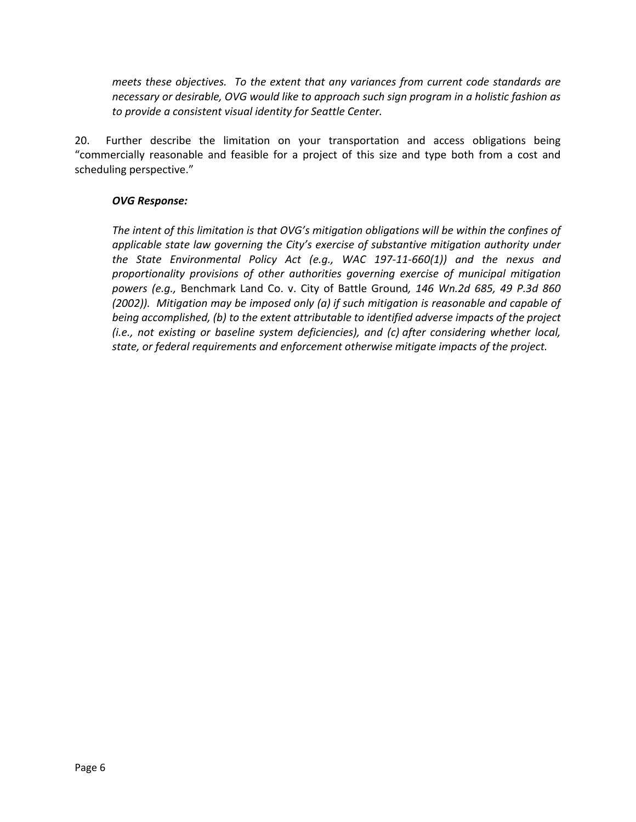*meets these objectives. To the extent that any variances from current code standards are necessary or desirable, OVG would like to approach such sign program in a holistic fashion as to provide a consistent visual identity for Seattle Center.* 

20. Further describe the limitation on your transportation and access obligations being "commercially reasonable and feasible for a project of this size and type both from a cost and scheduling perspective."

## *OVG Response:*

*The intent of this limitation is that OVG's mitigation obligations will be within the confines of applicable state law governing the City's exercise of substantive mitigation authority under the State Environmental Policy Act (e.g., WAC 197‐11‐660(1)) and the nexus and proportionality provisions of other authorities governing exercise of municipal mitigation powers (e.g.,*  Benchmark Land Co. v. City of Battle Ground*, 146 Wn.2d 685, 49 P.3d 860 (2002)). Mitigation may be imposed only (a) if such mitigation is reasonable and capable of being accomplished, (b) to the extent attributable to identified adverse impacts of the project (i.e., not existing or baseline system deficiencies), and (c) after considering whether local, state, or federal requirements and enforcement otherwise mitigate impacts of the project.*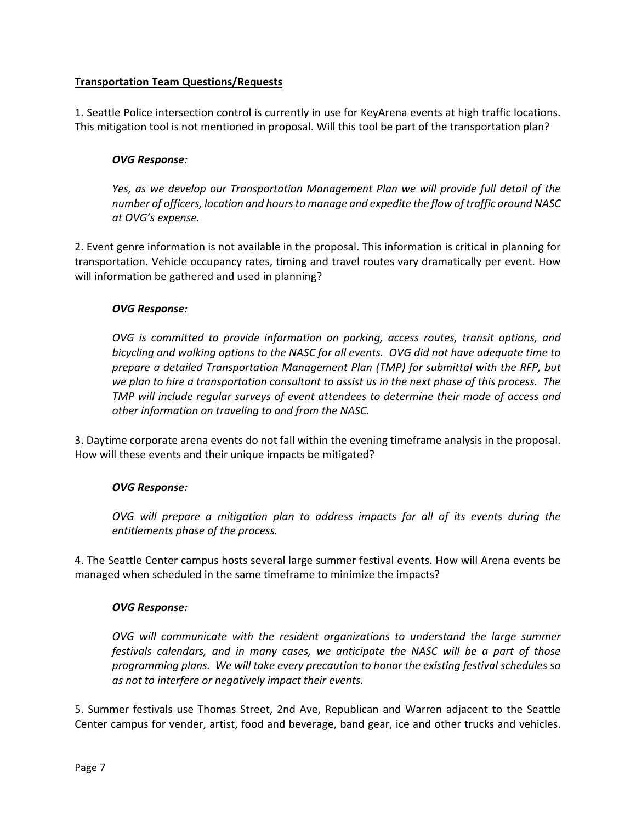# **Transportation Team Questions/Requests**

1. Seattle Police intersection control is currently in use for KeyArena events at high traffic locations. This mitigation tool is not mentioned in proposal. Will this tool be part of the transportation plan?

## *OVG Response:*

*Yes, as we develop our Transportation Management Plan we will provide full detail of the number of officers, location and hours to manage and expedite the flow of traffic around NASC at OVG's expense.* 

2. Event genre information is not available in the proposal. This information is critical in planning for transportation. Vehicle occupancy rates, timing and travel routes vary dramatically per event. How will information be gathered and used in planning?

## *OVG Response:*

*OVG is committed to provide information on parking, access routes, transit options, and bicycling and walking options to the NASC for all events. OVG did not have adequate time to prepare a detailed Transportation Management Plan (TMP) for submittal with the RFP, but we plan to hire a transportation consultant to assist us in the next phase of this process. The TMP will include regular surveys of event attendees to determine their mode of access and other information on traveling to and from the NASC.* 

3. Daytime corporate arena events do not fall within the evening timeframe analysis in the proposal. How will these events and their unique impacts be mitigated?

# *OVG Response:*

*OVG will prepare a mitigation plan to address impacts for all of its events during the entitlements phase of the process.* 

4. The Seattle Center campus hosts several large summer festival events. How will Arena events be managed when scheduled in the same timeframe to minimize the impacts?

#### *OVG Response:*

*OVG will communicate with the resident organizations to understand the large summer festivals calendars, and in many cases, we anticipate the NASC will be a part of those programming plans. We will take every precaution to honor the existing festival schedules so as not to interfere or negatively impact their events.* 

5. Summer festivals use Thomas Street, 2nd Ave, Republican and Warren adjacent to the Seattle Center campus for vender, artist, food and beverage, band gear, ice and other trucks and vehicles.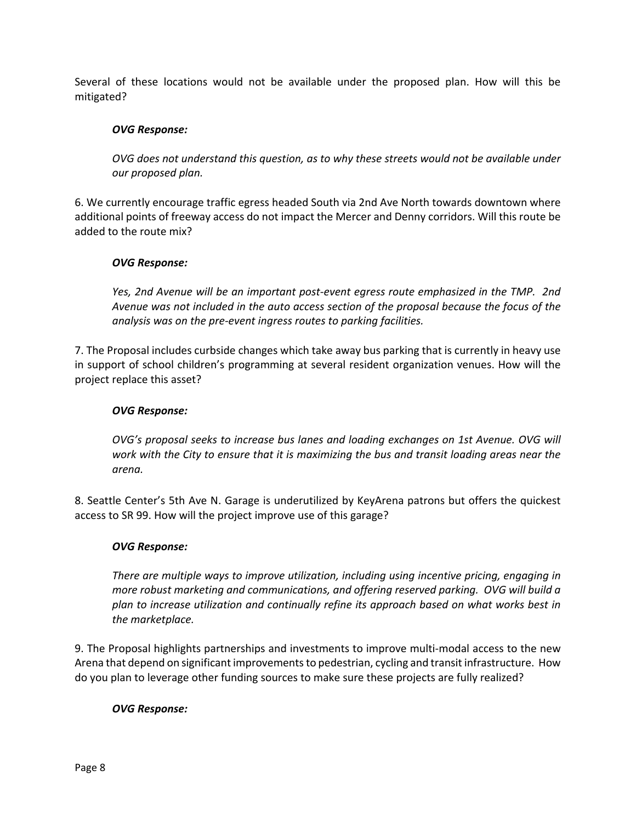Several of these locations would not be available under the proposed plan. How will this be mitigated?

## *OVG Response:*

*OVG does not understand this question, as to why these streets would not be available under our proposed plan.* 

6. We currently encourage traffic egress headed South via 2nd Ave North towards downtown where additional points of freeway access do not impact the Mercer and Denny corridors. Will this route be added to the route mix?

## *OVG Response:*

*Yes, 2nd Avenue will be an important post‐event egress route emphasized in the TMP. 2nd Avenue was not included in the auto access section of the proposal because the focus of the analysis was on the pre‐event ingress routes to parking facilities.* 

7. The Proposal includes curbside changes which take away bus parking that is currently in heavy use in support of school children's programming at several resident organization venues. How will the project replace this asset?

### *OVG Response:*

*OVG's proposal seeks to increase bus lanes and loading exchanges on 1st Avenue. OVG will work with the City to ensure that it is maximizing the bus and transit loading areas near the arena.* 

8. Seattle Center's 5th Ave N. Garage is underutilized by KeyArena patrons but offers the quickest access to SR 99. How will the project improve use of this garage?

#### *OVG Response:*

*There are multiple ways to improve utilization, including using incentive pricing, engaging in more robust marketing and communications, and offering reserved parking. OVG will build a plan to increase utilization and continually refine its approach based on what works best in the marketplace.* 

9. The Proposal highlights partnerships and investments to improve multi‐modal access to the new Arena that depend on significant improvements to pedestrian, cycling and transit infrastructure. How do you plan to leverage other funding sources to make sure these projects are fully realized?

#### *OVG Response:*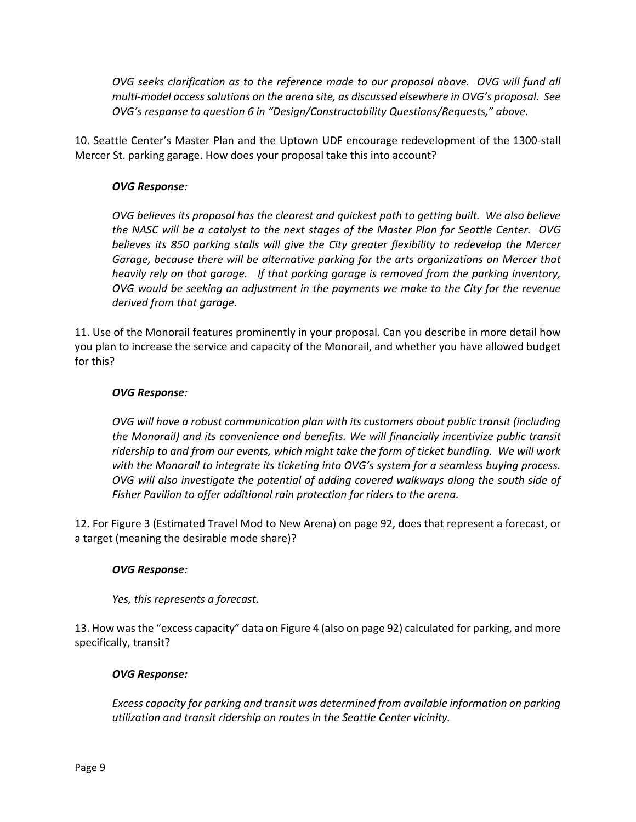*OVG seeks clarification as to the reference made to our proposal above. OVG will fund all multi‐model access solutions on the arena site, as discussed elsewhere in OVG's proposal. See OVG's response to question 6 in "Design/Constructability Questions/Requests," above.* 

10. Seattle Center's Master Plan and the Uptown UDF encourage redevelopment of the 1300‐stall Mercer St. parking garage. How does your proposal take this into account?

# *OVG Response:*

*OVG believes its proposal has the clearest and quickest path to getting built. We also believe the NASC will be a catalyst to the next stages of the Master Plan for Seattle Center. OVG believes its 850 parking stalls will give the City greater flexibility to redevelop the Mercer Garage, because there will be alternative parking for the arts organizations on Mercer that heavily rely on that garage. If that parking garage is removed from the parking inventory, OVG would be seeking an adjustment in the payments we make to the City for the revenue derived from that garage.* 

11. Use of the Monorail features prominently in your proposal. Can you describe in more detail how you plan to increase the service and capacity of the Monorail, and whether you have allowed budget for this?

# *OVG Response:*

*OVG will have a robust communication plan with its customers about public transit (including the Monorail) and its convenience and benefits. We will financially incentivize public transit ridership to and from our events, which might take the form of ticket bundling. We will work with the Monorail to integrate its ticketing into OVG's system for a seamless buying process. OVG will also investigate the potential of adding covered walkways along the south side of Fisher Pavilion to offer additional rain protection for riders to the arena.* 

12. For Figure 3 (Estimated Travel Mod to New Arena) on page 92, does that represent a forecast, or a target (meaning the desirable mode share)?

# *OVG Response:*

*Yes, this represents a forecast.* 

13. How was the "excess capacity" data on Figure 4 (also on page 92) calculated for parking, and more specifically, transit?

# *OVG Response:*

*Excess capacity for parking and transit was determined from available information on parking utilization and transit ridership on routes in the Seattle Center vicinity.*